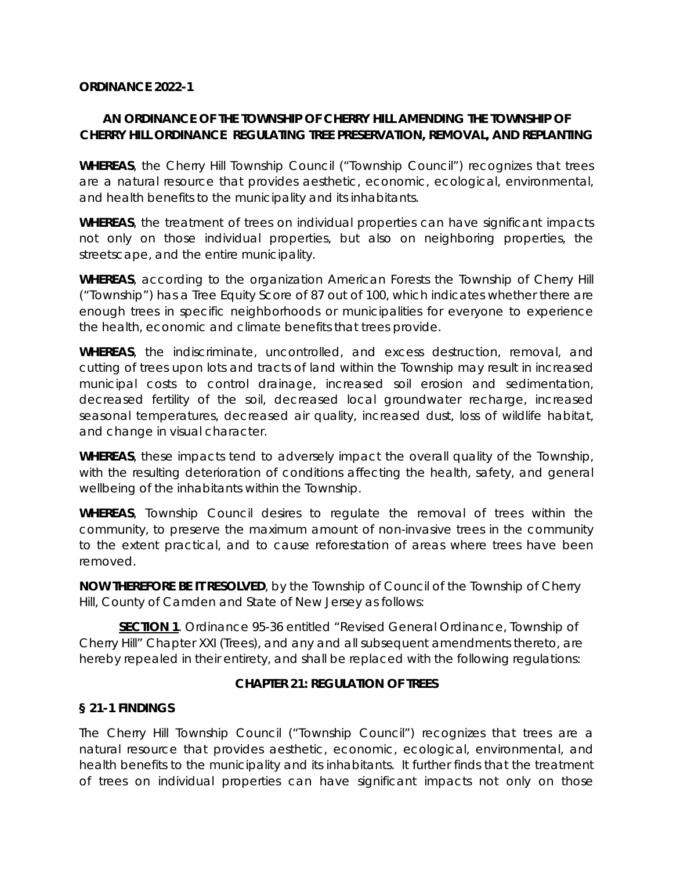#### **ORDINANCE 2022-1**

### **AN ORDINANCE OF THE TOWNSHIP OF CHERRY HILL AMENDING THE TOWNSHIP OF CHERRY HILL ORDINANCE REGULATING TREE PRESERVATION, REMOVAL, AND REPLANTING**

**WHEREAS**, the Cherry Hill Township Council ("Township Council") recognizes that trees are a natural resource that provides aesthetic, economic, ecological, environmental, and health benefits to the municipality and its inhabitants.

**WHEREAS**, the treatment of trees on individual properties can have significant impacts not only on those individual properties, but also on neighboring properties, the streetscape, and the entire municipality.

**WHEREAS**, according to the organization American Forests the Township of Cherry Hill ("Township") has a Tree Equity Score of 87 out of 100, which indicates whether there are enough trees in specific neighborhoods or municipalities for everyone to experience the health, economic and climate benefits that trees provide.

**WHEREAS**, the indiscriminate, uncontrolled, and excess destruction, removal, and cutting of trees upon lots and tracts of land within the Township may result in increased municipal costs to control drainage, increased soil erosion and sedimentation, decreased fertility of the soil, decreased local groundwater recharge, increased seasonal temperatures, decreased air quality, increased dust, loss of wildlife habitat, and change in visual character.

**WHEREAS**, these impacts tend to adversely impact the overall quality of the Township, with the resulting deterioration of conditions affecting the health, safety, and general wellbeing of the inhabitants within the Township.

**WHEREAS**, Township Council desires to regulate the removal of trees within the community, to preserve the maximum amount of non-invasive trees in the community to the extent practical, and to cause reforestation of areas where trees have been removed.

**NOW THEREFORE BE IT RESOLVED**, by the Township of Council of the Township of Cherry Hill, County of Camden and State of New Jersey as follows:

**SECTION 1** . Ordinance 95-36 entitled "Revised General Ordinance, Township of Cherry Hill" Chapter XXI (Trees), and any and all subsequent amendments thereto, are hereby repealed in their entirety, and shall be replaced with the following regulations:

### **CHAPTER 21: REGULATION OF TREES**

### **§ 21-1 FINDINGS**

The Cherry Hill Township Council ("Township Council") recognizes that trees are a natural resource that provides aesthetic, economic, ecological, environmental, and health benefits to the municipality and its inhabitants. It further finds that the treatment of trees on individual properties can have significant impacts not only on those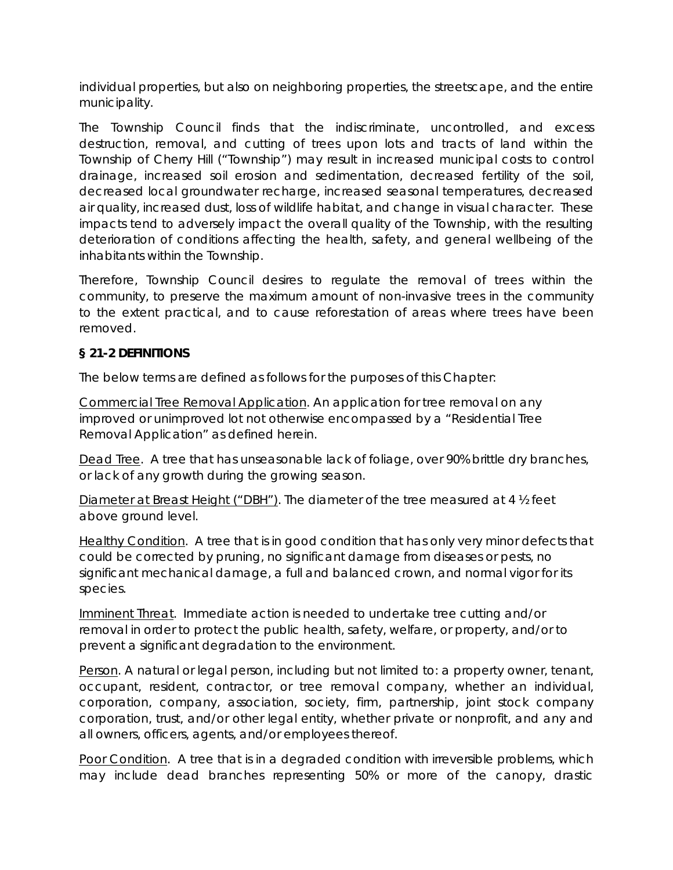individual properties, but also on neighboring properties, the streetscape, and the entire municipality.

The Township Council finds that the indiscriminate, uncontrolled, and excess destruction, removal, and cutting of trees upon lots and tracts of land within the Township of Cherry Hill ("Township") may result in increased municipal costs to control drainage, increased soil erosion and sedimentation, decreased fertility of the soil, decreased local groundwater recharge, increased seasonal temperatures, decreased air quality, increased dust, loss of wildlife habitat, and change in visual character. These impacts tend to adversely impact the overall quality of the Township, with the resulting deterioration of conditions affecting the health, safety, and general wellbeing of the inhabitants within the Township.

Therefore, Township Council desires to regulate the removal of trees within the community, to preserve the maximum amount of non-invasive trees in the community to the extent practical, and to cause reforestation of areas where trees have been removed.

## **§ 21-2 DEFINITIONS**

The below terms are defined as follows for the purposes of this Chapter:

Commercial Tree Removal Application. An application for tree removal on any improved or unimproved lot not otherwise encompassed by a "Residential Tree Removal Application" as defined herein.

Dead Tree. A tree that has unseasonable lack of foliage, over 90% brittle dry branches, or lack of any growth during the growing season.

Diameter at Breast Height ("DBH"). The diameter of the tree measured at 4 ½ feet above ground level.

Healthy Condition. A tree that is in good condition that has only very minor defects that could be corrected by pruning, no significant damage from diseases or pests, no significant mechanical damage, a full and balanced crown, and normal vigor for its species.

Imminent Threat. Immediate action is needed to undertake tree cutting and/or removal in order to protect the public health, safety, welfare, or property, and/or to prevent a significant degradation to the environment.

Person. A natural or legal person, including but not limited to: a property owner, tenant, occupant, resident, contractor, or tree removal company, whether an individual, corporation, company, association, society, firm, partnership, joint stock company corporation, trust, and/or other legal entity, whether private or nonprofit, and any and all owners, officers, agents, and/or employees thereof.

Poor Condition. A tree that is in a degraded condition with irreversible problems, which may include dead branches representing 50% or more of the canopy, drastic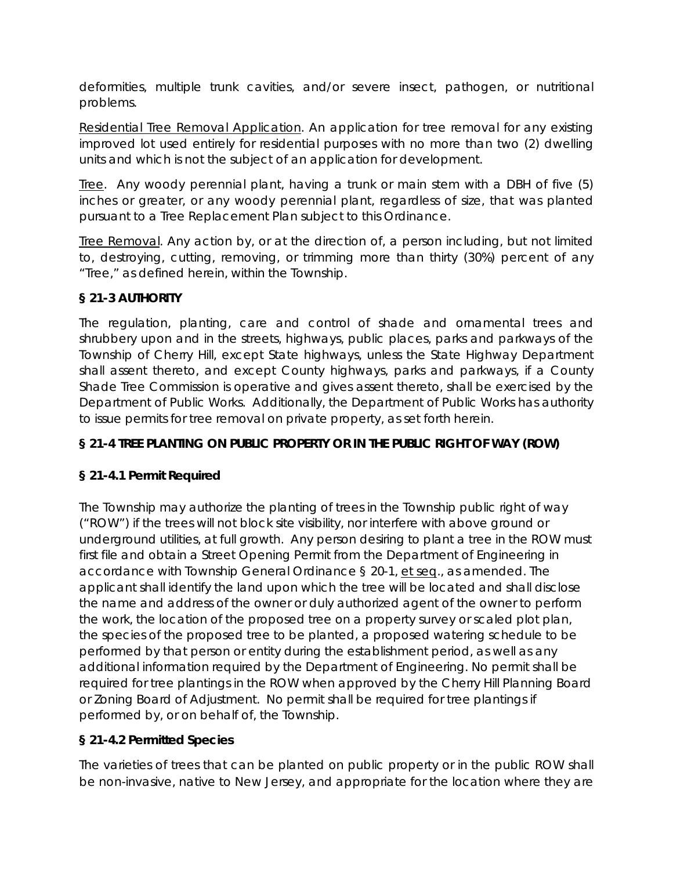deformities, multiple trunk cavities, and/or severe insect, pathogen, or nutritional problems.

Residential Tree Removal Application. An application for tree removal for any existing improved lot used entirely for residential purposes with no more than two (2) dwelling units and which is not the subject of an application for development.

Tree. Any woody perennial plant, having a trunk or main stem with a DBH of five (5) inches or greater, or any woody perennial plant, regardless of size, that was planted pursuant to a Tree Replacement Plan subject to this Ordinance.

Tree Removal. Any action by, or at the direction of, a person including, but not limited to, destroying, cutting, removing, or trimming more than thirty (30%) percent of any "Tree," as defined herein, within the Township.

# **§ 21-3 AUTHORITY**

The regulation, planting, care and control of shade and ornamental trees and shrubbery upon and in the streets, highways, public places, parks and parkways of the Township of Cherry Hill, except State highways, unless the State Highway Department shall assent thereto, and except County highways, parks and parkways, if a County Shade Tree Commission is operative and gives assent thereto, shall be exercised by the Department of Public Works. Additionally, the Department of Public Works has authority to issue permits for tree removal on private property, as set forth herein.

# **§ 21-4 TREE PLANTING ON PUBLIC PROPERTY OR IN THE PUBLIC RIGHT OF WAY (ROW)**

# **§ 21-4.1 Permit Required**

The Township may authorize the planting of trees in the Township public right of way ("ROW") if the trees will not block site visibility, nor interfere with above ground or underground utilities, at full growth. Any person desiring to plant a tree in the ROW must first file and obtain a Street Opening Permit from the Department of Engineering in accordance with Township General Ordinance § 20-1, et seq., as amended. The applicant shall identify the land upon which the tree will be located and shall disclose the name and address of the owner or duly authorized agent of the owner to perform the work, the location of the proposed tree on a property survey or scaled plot plan, the species of the proposed tree to be planted, a proposed watering schedule to be performed by that person or entity during the establishment period, as well as any additional information required by the Department of Engineering. No permit shall be required for tree plantings in the ROW when approved by the Cherry Hill Planning Board or Zoning Board of Adjustment. No permit shall be required for tree plantings if performed by, or on behalf of, the Township.

# **§ 21-4.2 Permitted Species**

The varieties of trees that can be planted on public property or in the public ROW shall be non-invasive, native to New Jersey, and appropriate for the location where they are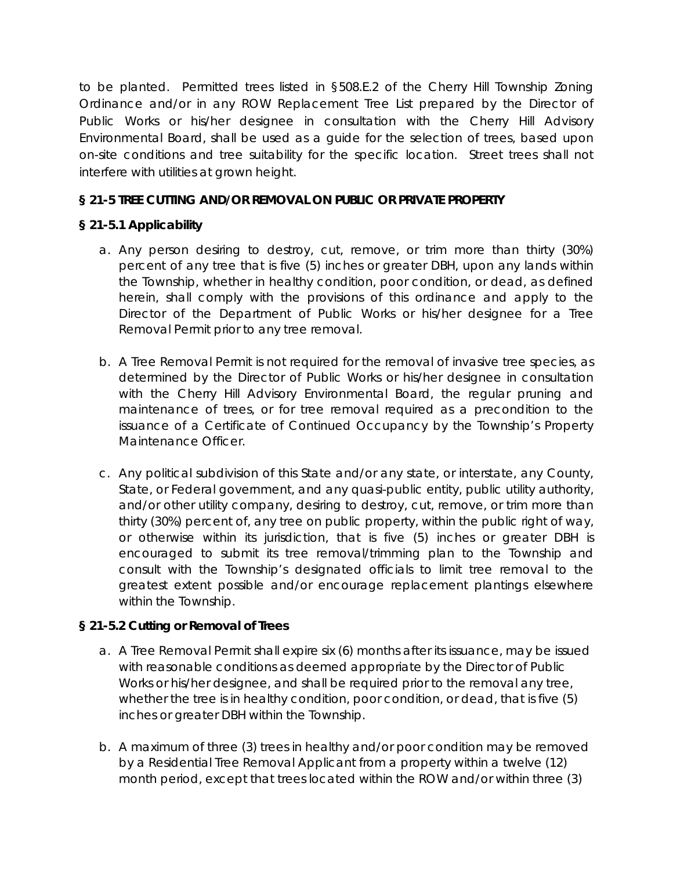to be planted. Permitted trees listed in §508.E.2 of the Cherry Hill Township Zoning Ordinance and/or in any ROW Replacement Tree List prepared by the Director of Public Works or his/her designee in consultation with the Cherry Hill Advisory Environmental Board, shall be used as a guide for the selection of trees, based upon on-site conditions and tree suitability for the specific location. Street trees shall not interfere with utilities at grown height.

## **§ 21-5 TREE CUTTING AND/OR REMOVAL ON PUBLIC OR PRIVATE PROPERTY**

## **§ 21-5.1 Applicability**

- a. Any person desiring to destroy, cut, remove, or trim more than thirty (30%) percent of any tree that is five (5) inches or greater DBH, upon any lands within the Township, whether in healthy condition, poor condition, or dead, as defined herein, shall comply with the provisions of this ordinance and apply to the Director of the Department of Public Works or his/her designee for a Tree Removal Permit prior to any tree removal.
- b. A Tree Removal Permit is not required for the removal of invasive tree species, as determined by the Director of Public Works or his/her designee in consultation with the Cherry Hill Advisory Environmental Board, the regular pruning and maintenance of trees, or for tree removal required as a precondition to the issuance of a Certificate of Continued Occupancy by the Township's Property Maintenance Officer.
- c. Any political subdivision of this State and/or any state, or interstate, any County, State, or Federal government, and any quasi-public entity, public utility authority, and/or other utility company, desiring to destroy, cut, remove, or trim more than thirty (30%) percent of, any tree on public property, within the public right of way, or otherwise within its jurisdiction, that is five (5) inches or greater DBH is encouraged to submit its tree removal/trimming plan to the Township and consult with the Township's designated officials to limit tree removal to the greatest extent possible and/or encourage replacement plantings elsewhere within the Township.

### **§ 21-5.2 Cutting or Removal of Trees**

- a. A Tree Removal Permit shall expire six (6) months after its issuance, may be issued with reasonable conditions as deemed appropriate by the Director of Public Works or his/her designee, and shall be required prior to the removal any tree, whether the tree is in healthy condition, poor condition, or dead, that is five (5) inches or greater DBH within the Township.
- b. A maximum of three (3) trees in healthy and/or poor condition may be removed by a Residential Tree Removal Applicant from a property within a twelve (12) month period, except that trees located within the ROW and/or within three (3)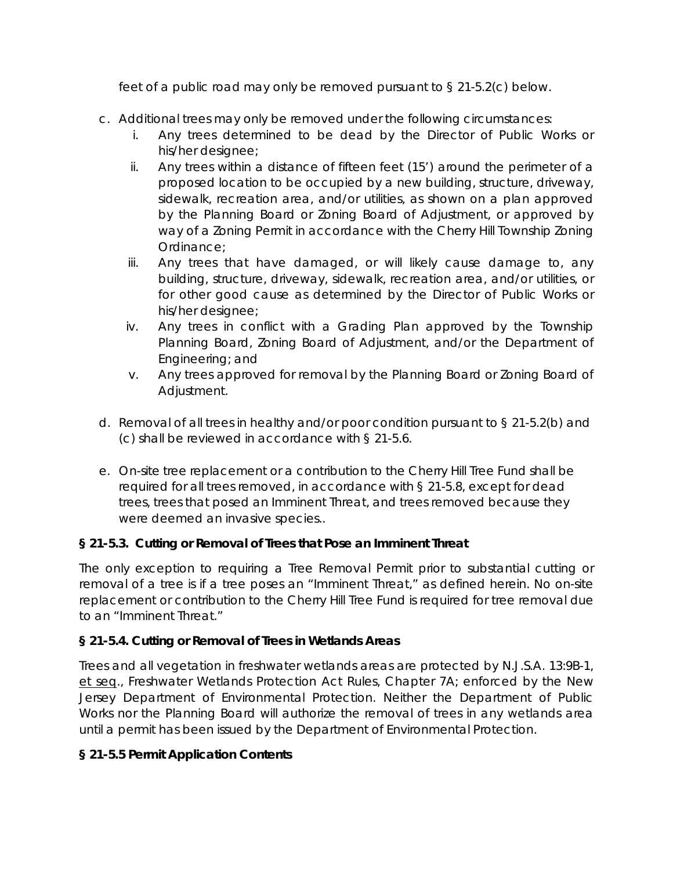feet of a public road may only be removed pursuant to § 21-5.2(c) below.

- c. Additional trees may only be removed under the following circumstances:
	- i. Any trees determined to be dead by the Director of Public Works or his/her designee;
	- ii. Any trees within a distance of fifteen feet (15') around the perimeter of a proposed location to be occupied by a new building, structure, driveway, sidewalk, recreation area, and/or utilities, as shown on a plan approved by the Planning Board or Zoning Board of Adjustment, or approved by way of a Zoning Permit in accordance with the Cherry Hill Township Zoning Ordinance;
	- iii. Any trees that have damaged, or will likely cause damage to, any building, structure, driveway, sidewalk, recreation area, and/or utilities, or for other good cause as determined by the Director of Public Works or his/her designee;
	- iv. Any trees in conflict with a Grading Plan approved by the Township Planning Board, Zoning Board of Adjustment, and/or the Department of Engineering; and
	- v. Any trees approved for removal by the Planning Board or Zoning Board of Adjustment.
- d. Removal of all trees in healthy and/or poor condition pursuant to § 21-5.2(b) and (c) shall be reviewed in accordance with § 21-5.6.
- e. On-site tree replacement or a contribution to the Cherry Hill Tree Fund shall be required for all trees removed, in accordance with § 21-5.8, except for dead trees, trees that posed an Imminent Threat, and trees removed because they were deemed an invasive species..

# **§ 21-5.3. Cutting or Removal of Trees that Pose an Imminent Threat**

The only exception to requiring a Tree Removal Permit prior to substantial cutting or removal of a tree is if a tree poses an "Imminent Threat," as defined herein. No on-site replacement or contribution to the Cherry Hill Tree Fund is required for tree removal due to an "Imminent Threat."

# **§ 21-5.4. Cutting or Removal of Trees in Wetlands Areas**

Trees and all vegetation in freshwater wetlands areas are protected by N.J.S.A. 13:9B-1, et seq., Freshwater Wetlands Protection Act Rules, Chapter 7A; enforced by the New Jersey Department of Environmental Protection. Neither the Department of Public Works nor the Planning Board will authorize the removal of trees in any wetlands area until a permit has been issued by the Department of Environmental Protection.

# **§ 21-5.5 Permit Application Contents**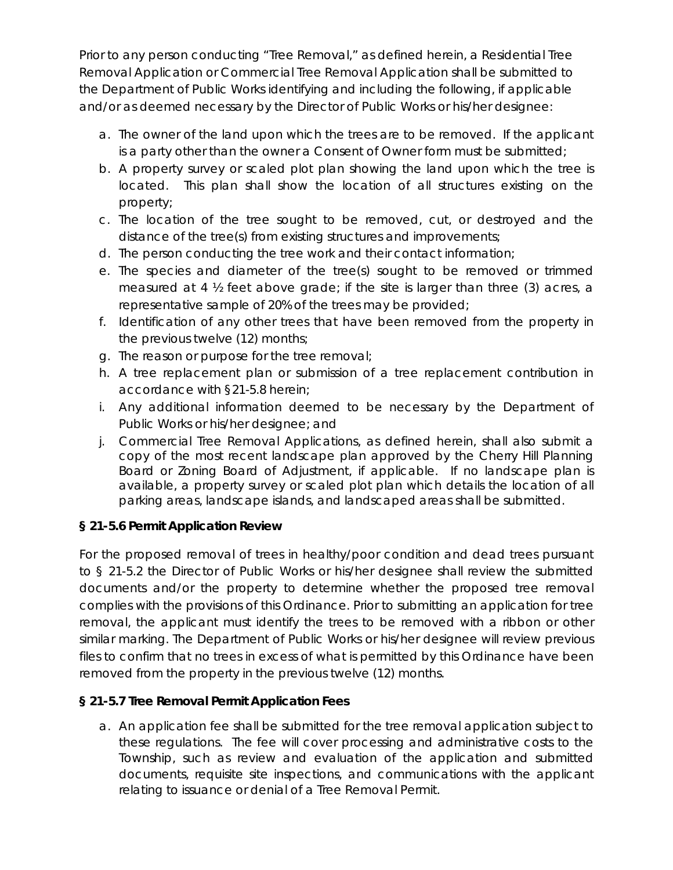Prior to any person conducting "Tree Removal," as defined herein, a Residential Tree Removal Application or Commercial Tree Removal Application shall be submitted to the Department of Public Works identifying and including the following, if applicable and/or as deemed necessary by the Director of Public Works or his/her designee:

- a. The owner of the land upon which the trees are to be removed. If the applicant is a party other than the owner a Consent of Owner form must be submitted;
- b. A property survey or scaled plot plan showing the land upon which the tree is located. This plan shall show the location of all structures existing on the property;
- c. The location of the tree sought to be removed, cut, or destroyed and the distance of the tree(s) from existing structures and improvements;
- d. The person conducting the tree work and their contact information;
- e. The species and diameter of the tree(s) sought to be removed or trimmed measured at 4 ½ feet above grade; if the site is larger than three (3) acres, a representative sample of 20% of the trees may be provided;
- f. Identification of any other trees that have been removed from the property in the previous twelve (12) months;
- g. The reason or purpose for the tree removal;
- h. A tree replacement plan or submission of a tree replacement contribution in accordance with §21-5.8 herein;
- i. Any additional information deemed to be necessary by the Department of Public Works or his/her designee; and
- j. Commercial Tree Removal Applications, as defined herein, shall also submit a copy of the most recent landscape plan approved by the Cherry Hill Planning Board or Zoning Board of Adjustment, if applicable. If no landscape plan is available, a property survey or scaled plot plan which details the location of all parking areas, landscape islands, and landscaped areas shall be submitted.

# **§ 21-5.6 Permit Application Review**

For the proposed removal of trees in healthy/poor condition and dead trees pursuant to § 21-5.2 the Director of Public Works or his/her designee shall review the submitted documents and/or the property to determine whether the proposed tree removal complies with the provisions of this Ordinance. Prior to submitting an application for tree removal, the applicant must identify the trees to be removed with a ribbon or other similar marking. The Department of Public Works or his/her designee will review previous files to confirm that no trees in excess of what is permitted by this Ordinance have been removed from the property in the previous twelve (12) months.

# **§ 21-5.7 Tree Removal Permit Application Fees**

a. An application fee shall be submitted for the tree removal application subject to these regulations. The fee will cover processing and administrative costs to the Township, such as review and evaluation of the application and submitted documents, requisite site inspections, and communications with the applicant relating to issuance or denial of a Tree Removal Permit.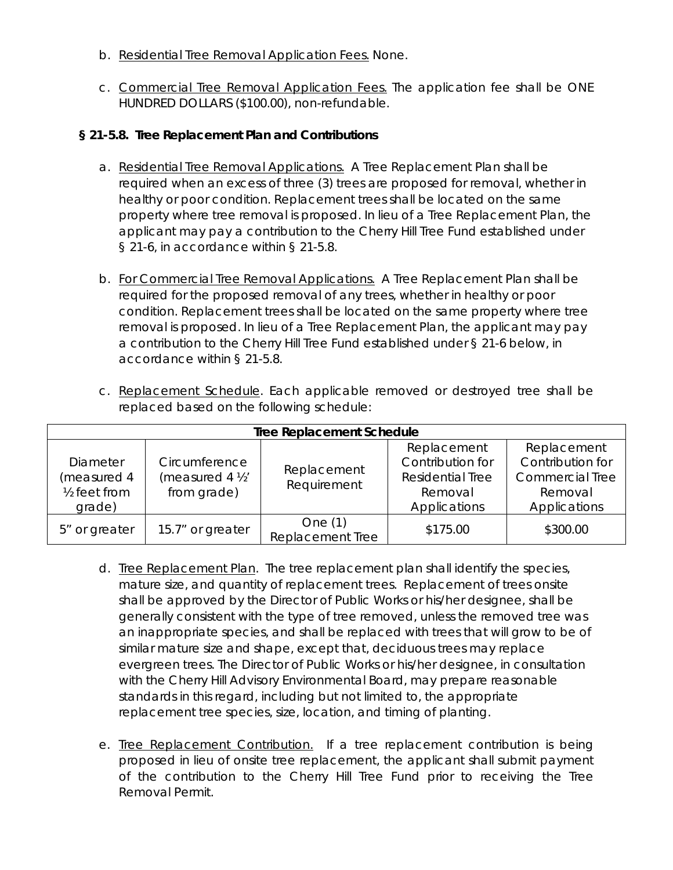- b. Residential Tree Removal Application Fees. None.
- c. Commercial Tree Removal Application Fees. The application fee shall be ONE HUNDRED DOLLARS (\$100.00), non-refundable.

#### **§ 21-5.8. Tree Replacement Plan and Contributions**

- a. Residential Tree Removal Applications. A Tree Replacement Plan shall be required when an excess of three (3) trees are proposed for removal, whether in healthy or poor condition. Replacement trees shall be located on the same property where tree removal is proposed. In lieu of a Tree Replacement Plan, the applicant may pay a contribution to the Cherry Hill Tree Fund established under § 21-6, in accordance within § 21-5.8.
- b. For Commercial Tree Removal Applications. A Tree Replacement Plan shall be required for the proposed removal of any trees, whether in healthy or poor condition. Replacement trees shall be located on the same property where tree removal is proposed. In lieu of a Tree Replacement Plan, the applicant may pay a contribution to the Cherry Hill Tree Fund established under § 21-6 below, in accordance within § 21-5.8.
- c. Replacement Schedule. Each applicable removed or destroyed tree shall be replaced based on the following schedule:

| <b>Tree Replacement Schedule</b>                               |                                                |                               |                                                                                |                                                                                      |
|----------------------------------------------------------------|------------------------------------------------|-------------------------------|--------------------------------------------------------------------------------|--------------------------------------------------------------------------------------|
| Diameter<br>(measured 4<br>1/ <sub>2</sub> feet from<br>grade) | Circumference<br>(measured 4 ½'<br>from grade) | Replacement<br>Requirement    | Replacement<br>Contribution for<br>Residential Tree<br>Removal<br>Applications | Replacement<br>Contribution for<br><b>Commercial Tree</b><br>Removal<br>Applications |
| 5" or greater                                                  | 15.7" or greater                               | One $(1)$<br>Replacement Tree | \$175.00                                                                       | \$300.00                                                                             |

- d. Tree Replacement Plan. The tree replacement plan shall identify the species, mature size, and quantity of replacement trees. Replacement of trees onsite shall be approved by the Director of Public Works or his/her designee, shall be generally consistent with the type of tree removed, unless the removed tree was an inappropriate species, and shall be replaced with trees that will grow to be of similar mature size and shape, except that, deciduous trees may replace evergreen trees. The Director of Public Works or his/her designee, in consultation with the Cherry Hill Advisory Environmental Board, may prepare reasonable standards in this regard, including but not limited to, the appropriate replacement tree species, size, location, and timing of planting.
- e. Tree Replacement Contribution. If a tree replacement contribution is being proposed in lieu of onsite tree replacement, the applicant shall submit payment of the contribution to the Cherry Hill Tree Fund prior to receiving the Tree Removal Permit.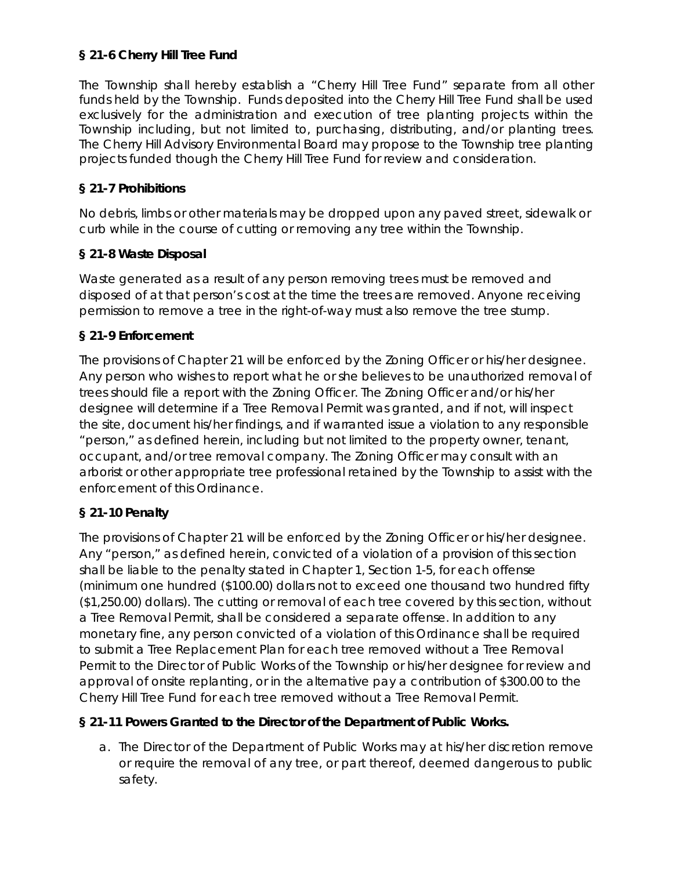## **§ 21-6 Cherry Hill Tree Fund**

The Township shall hereby establish a "Cherry Hill Tree Fund" separate from all other funds held by the Township. Funds deposited into the Cherry Hill Tree Fund shall be used exclusively for the administration and execution of tree planting projects within the Township including, but not limited to, purchasing, distributing, and/or planting trees. The Cherry Hill Advisory Environmental Board may propose to the Township tree planting projects funded though the Cherry Hill Tree Fund for review and consideration.

### **§ 21-7 Prohibitions**

No debris, limbs or other materials may be dropped upon any paved street, sidewalk or curb while in the course of cutting or removing any tree within the Township.

## **§ 21-8 Waste Disposal**

Waste generated as a result of any person removing trees must be removed and disposed of at that person's cost at the time the trees are removed. Anyone receiving permission to remove a tree in the right-of-way must also remove the tree stump.

## **§ 21-9 Enforcement**

The provisions of Chapter 21 will be enforced by the Zoning Officer or his/her designee. Any person who wishes to report what he or she believes to be unauthorized removal of trees should file a report with the Zoning Officer. The Zoning Officer and/or his/her designee will determine if a Tree Removal Permit was granted, and if not, will inspect the site, document his/her findings, and if warranted issue a violation to any responsible "person," as defined herein, including but not limited to the property owner, tenant, occupant, and/or tree removal company. The Zoning Officer may consult with an arborist or other appropriate tree professional retained by the Township to assist with the enforcement of this Ordinance.

# **§ 21-10 Penalty**

The provisions of Chapter 21 will be enforced by the Zoning Officer or his/her designee. Any "person," as defined herein, convicted of a violation of a provision of this section shall be liable to the penalty stated in Chapter 1, Section 1-5, for each offense (minimum one hundred (\$100.00) dollars not to exceed one thousand two hundred fifty (\$1,250.00) dollars). The cutting or removal of each tree covered by this section, without a Tree Removal Permit, shall be considered a separate offense. In addition to any monetary fine, any person convicted of a violation of this Ordinance shall be required to submit a Tree Replacement Plan for each tree removed without a Tree Removal Permit to the Director of Public Works of the Township or his/her designee for review and approval of onsite replanting, or in the alternative pay a contribution of \$300.00 to the Cherry Hill Tree Fund for each tree removed without a Tree Removal Permit.

# **§ 21-11 Powers Granted to the Director of the Department of Public Works.**

a. The Director of the Department of Public Works may at his/her discretion remove or require the removal of any tree, or part thereof, deemed dangerous to public safety.